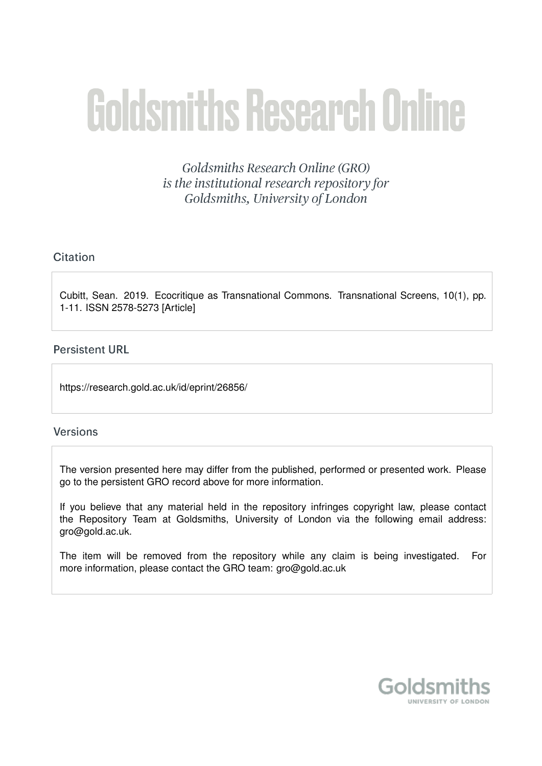# **Goldsmiths Research Online**

Goldsmiths Research Online (GRO) is the institutional research repository for Goldsmiths, University of London

# Citation

Cubitt, Sean. 2019. Ecocritique as Transnational Commons. Transnational Screens, 10(1), pp. 1-11. ISSN 2578-5273 [Article]

# **Persistent URL**

https://research.gold.ac.uk/id/eprint/26856/

# **Versions**

The version presented here may differ from the published, performed or presented work. Please go to the persistent GRO record above for more information.

If you believe that any material held in the repository infringes copyright law, please contact the Repository Team at Goldsmiths, University of London via the following email address: gro@gold.ac.uk.

The item will be removed from the repository while any claim is being investigated. For more information, please contact the GRO team: gro@gold.ac.uk

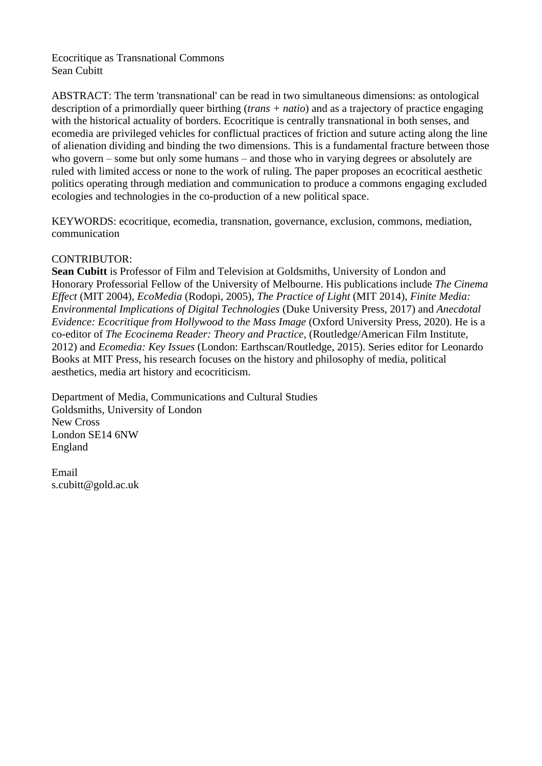Ecocritique as Transnational Commons Sean Cubitt

ABSTRACT: The term 'transnational' can be read in two simultaneous dimensions: as ontological description of a primordially queer birthing (*trans + natio*) and as a trajectory of practice engaging with the historical actuality of borders. Ecocritique is centrally transnational in both senses, and ecomedia are privileged vehicles for conflictual practices of friction and suture acting along the line of alienation dividing and binding the two dimensions. This is a fundamental fracture between those who govern – some but only some humans – and those who in varying degrees or absolutely are ruled with limited access or none to the work of ruling. The paper proposes an ecocritical aesthetic politics operating through mediation and communication to produce a commons engaging excluded ecologies and technologies in the co-production of a new political space.

KEYWORDS: ecocritique, ecomedia, transnation, governance, exclusion, commons, mediation, communication

## CONTRIBUTOR:

**Sean Cubitt** is Professor of Film and Television at Goldsmiths, University of London and Honorary Professorial Fellow of the University of Melbourne. His publications include *The Cinema Effect* (MIT 2004), *EcoMedia* (Rodopi, 2005), *The Practice of Light* (MIT 2014), *Finite Media: Environmental Implications of Digital Technologies* (Duke University Press, 2017) and *Anecdotal Evidence: Ecocritique from Hollywood to the Mass Image* (Oxford University Press, 2020). He is a co-editor of *The Ecocinema Reader: Theory and Practice*, (Routledge/American Film Institute, 2012) and *Ecomedia: Key Issues* (London: Earthscan/Routledge, 2015). Series editor for Leonardo Books at MIT Press, his research focuses on the history and philosophy of media, political aesthetics, media art history and ecocriticism.

Department of Media, Communications and Cultural Studies Goldsmiths, University of London New Cross London SE14 6NW England

Email s.cubitt@gold.ac.uk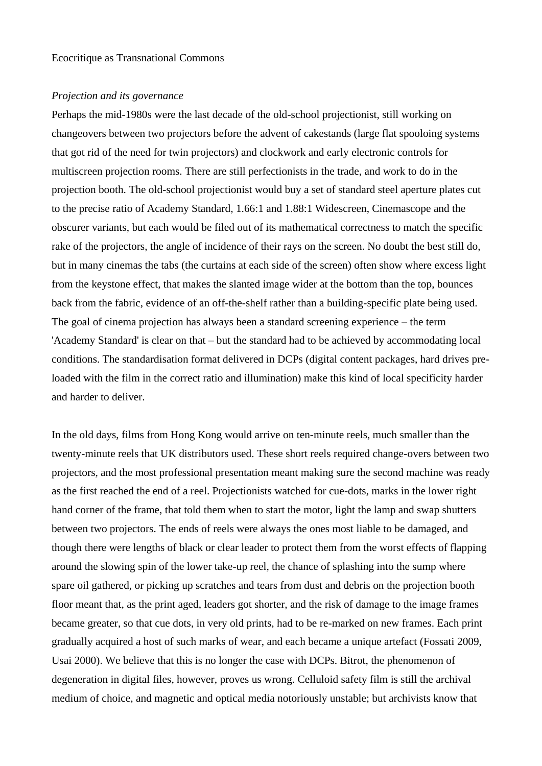## *Projection and its governance*

Perhaps the mid-1980s were the last decade of the old-school projectionist, still working on changeovers between two projectors before the advent of cakestands (large flat spooloing systems that got rid of the need for twin projectors) and clockwork and early electronic controls for multiscreen projection rooms. There are still perfectionists in the trade, and work to do in the projection booth. The old-school projectionist would buy a set of standard steel aperture plates cut to the precise ratio of Academy Standard, 1.66:1 and 1.88:1 Widescreen, Cinemascope and the obscurer variants, but each would be filed out of its mathematical correctness to match the specific rake of the projectors, the angle of incidence of their rays on the screen. No doubt the best still do, but in many cinemas the tabs (the curtains at each side of the screen) often show where excess light from the keystone effect, that makes the slanted image wider at the bottom than the top, bounces back from the fabric, evidence of an off-the-shelf rather than a building-specific plate being used. The goal of cinema projection has always been a standard screening experience – the term 'Academy Standard' is clear on that – but the standard had to be achieved by accommodating local conditions. The standardisation format delivered in DCPs (digital content packages, hard drives preloaded with the film in the correct ratio and illumination) make this kind of local specificity harder and harder to deliver.

In the old days, films from Hong Kong would arrive on ten-minute reels, much smaller than the twenty-minute reels that UK distributors used. These short reels required change-overs between two projectors, and the most professional presentation meant making sure the second machine was ready as the first reached the end of a reel. Projectionists watched for cue-dots, marks in the lower right hand corner of the frame, that told them when to start the motor, light the lamp and swap shutters between two projectors. The ends of reels were always the ones most liable to be damaged, and though there were lengths of black or clear leader to protect them from the worst effects of flapping around the slowing spin of the lower take-up reel, the chance of splashing into the sump where spare oil gathered, or picking up scratches and tears from dust and debris on the projection booth floor meant that, as the print aged, leaders got shorter, and the risk of damage to the image frames became greater, so that cue dots, in very old prints, had to be re-marked on new frames. Each print gradually acquired a host of such marks of wear, and each became a unique artefact (Fossati 2009, Usai 2000). We believe that this is no longer the case with DCPs. Bitrot, the phenomenon of degeneration in digital files, however, proves us wrong. Celluloid safety film is still the archival medium of choice, and magnetic and optical media notoriously unstable; but archivists know that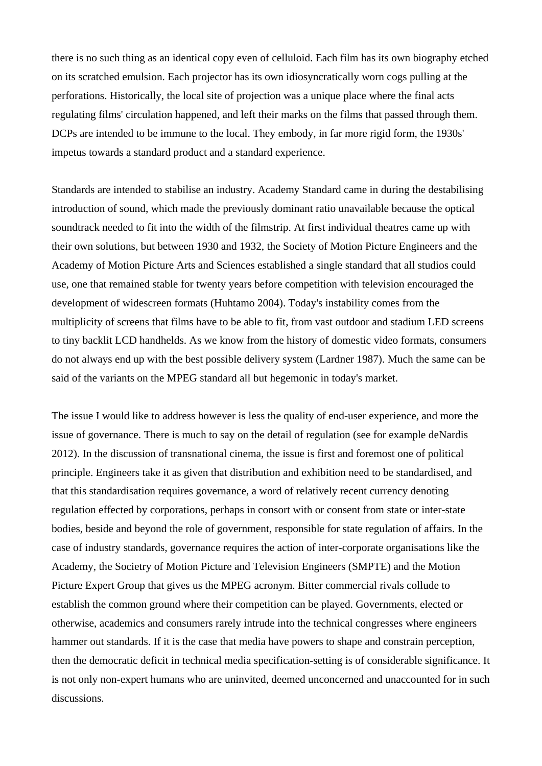there is no such thing as an identical copy even of celluloid. Each film has its own biography etched on its scratched emulsion. Each projector has its own idiosyncratically worn cogs pulling at the perforations. Historically, the local site of projection was a unique place where the final acts regulating films' circulation happened, and left their marks on the films that passed through them. DCPs are intended to be immune to the local. They embody, in far more rigid form, the 1930s' impetus towards a standard product and a standard experience.

Standards are intended to stabilise an industry. Academy Standard came in during the destabilising introduction of sound, which made the previously dominant ratio unavailable because the optical soundtrack needed to fit into the width of the filmstrip. At first individual theatres came up with their own solutions, but between 1930 and 1932, the Society of Motion Picture Engineers and the Academy of Motion Picture Arts and Sciences established a single standard that all studios could use, one that remained stable for twenty years before competition with television encouraged the development of widescreen formats (Huhtamo 2004). Today's instability comes from the multiplicity of screens that films have to be able to fit, from vast outdoor and stadium LED screens to tiny backlit LCD handhelds. As we know from the history of domestic video formats, consumers do not always end up with the best possible delivery system (Lardner 1987). Much the same can be said of the variants on the MPEG standard all but hegemonic in today's market.

The issue I would like to address however is less the quality of end-user experience, and more the issue of governance. There is much to say on the detail of regulation (see for example deNardis 2012). In the discussion of transnational cinema, the issue is first and foremost one of political principle. Engineers take it as given that distribution and exhibition need to be standardised, and that this standardisation requires governance, a word of relatively recent currency denoting regulation effected by corporations, perhaps in consort with or consent from state or inter-state bodies, beside and beyond the role of government, responsible for state regulation of affairs. In the case of industry standards, governance requires the action of inter-corporate organisations like the Academy, the Societry of Motion Picture and Television Engineers (SMPTE) and the Motion Picture Expert Group that gives us the MPEG acronym. Bitter commercial rivals collude to establish the common ground where their competition can be played. Governments, elected or otherwise, academics and consumers rarely intrude into the technical congresses where engineers hammer out standards. If it is the case that media have powers to shape and constrain perception, then the democratic deficit in technical media specification-setting is of considerable significance. It is not only non-expert humans who are uninvited, deemed unconcerned and unaccounted for in such discussions.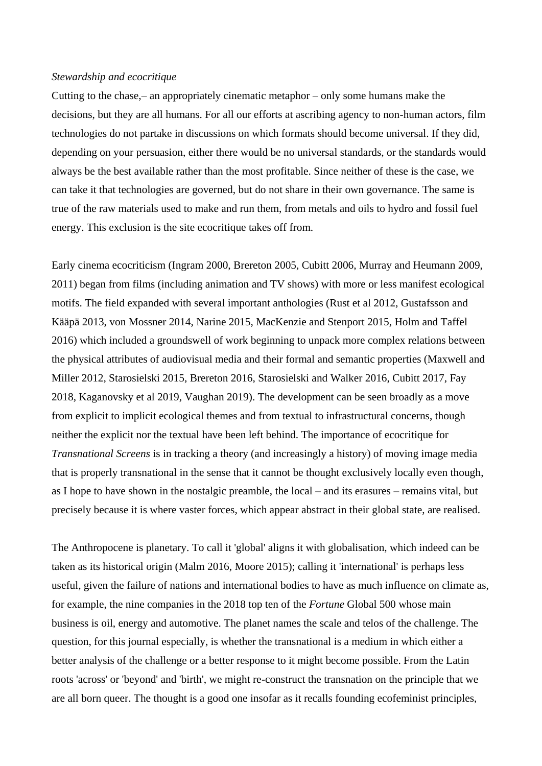### *Stewardship and ecocritique*

Cutting to the chase,– an appropriately cinematic metaphor – only some humans make the decisions, but they are all humans. For all our efforts at ascribing agency to non-human actors, film technologies do not partake in discussions on which formats should become universal. If they did, depending on your persuasion, either there would be no universal standards, or the standards would always be the best available rather than the most profitable. Since neither of these is the case, we can take it that technologies are governed, but do not share in their own governance. The same is true of the raw materials used to make and run them, from metals and oils to hydro and fossil fuel energy. This exclusion is the site ecocritique takes off from.

Early cinema ecocriticism (Ingram 2000, Brereton 2005, Cubitt 2006, Murray and Heumann 2009, 2011) began from films (including animation and TV shows) with more or less manifest ecological motifs. The field expanded with several important anthologies (Rust et al 2012, Gustafsson and Kääpä 2013, von Mossner 2014, Narine 2015, MacKenzie and Stenport 2015, Holm and Taffel 2016) which included a groundswell of work beginning to unpack more complex relations between the physical attributes of audiovisual media and their formal and semantic properties (Maxwell and Miller 2012, Starosielski 2015, Brereton 2016, Starosielski and Walker 2016, Cubitt 2017, Fay 2018, Kaganovsky et al 2019, Vaughan 2019). The development can be seen broadly as a move from explicit to implicit ecological themes and from textual to infrastructural concerns, though neither the explicit nor the textual have been left behind. The importance of ecocritique for *Transnational Screens* is in tracking a theory (and increasingly a history) of moving image media that is properly transnational in the sense that it cannot be thought exclusively locally even though, as I hope to have shown in the nostalgic preamble, the local – and its erasures – remains vital, but precisely because it is where vaster forces, which appear abstract in their global state, are realised.

The Anthropocene is planetary. To call it 'global' aligns it with globalisation, which indeed can be taken as its historical origin (Malm 2016, Moore 2015); calling it 'international' is perhaps less useful, given the failure of nations and international bodies to have as much influence on climate as, for example, the nine companies in the 2018 top ten of the *Fortune* Global 500 whose main business is oil, energy and automotive. The planet names the scale and telos of the challenge. The question, for this journal especially, is whether the transnational is a medium in which either a better analysis of the challenge or a better response to it might become possible. From the Latin roots 'across' or 'beyond' and 'birth', we might re-construct the transnation on the principle that we are all born queer. The thought is a good one insofar as it recalls founding ecofeminist principles,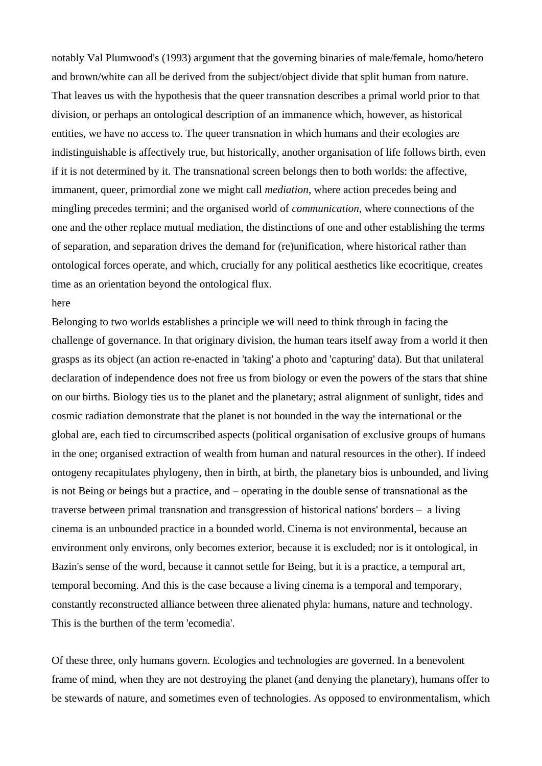notably Val Plumwood's (1993) argument that the governing binaries of male/female, homo/hetero and brown/white can all be derived from the subject/object divide that split human from nature. That leaves us with the hypothesis that the queer transnation describes a primal world prior to that division, or perhaps an ontological description of an immanence which, however, as historical entities, we have no access to. The queer transnation in which humans and their ecologies are indistinguishable is affectively true, but historically, another organisation of life follows birth, even if it is not determined by it. The transnational screen belongs then to both worlds: the affective, immanent, queer, primordial zone we might call *mediation*, where action precedes being and mingling precedes termini; and the organised world of *communication*, where connections of the one and the other replace mutual mediation, the distinctions of one and other establishing the terms of separation, and separation drives the demand for (re)unification, where historical rather than ontological forces operate, and which, crucially for any political aesthetics like ecocritique, creates time as an orientation beyond the ontological flux.

### here

Belonging to two worlds establishes a principle we will need to think through in facing the challenge of governance. In that originary division, the human tears itself away from a world it then grasps as its object (an action re-enacted in 'taking' a photo and 'capturing' data). But that unilateral declaration of independence does not free us from biology or even the powers of the stars that shine on our births. Biology ties us to the planet and the planetary; astral alignment of sunlight, tides and cosmic radiation demonstrate that the planet is not bounded in the way the international or the global are, each tied to circumscribed aspects (political organisation of exclusive groups of humans in the one; organised extraction of wealth from human and natural resources in the other). If indeed ontogeny recapitulates phylogeny, then in birth, at birth, the planetary bios is unbounded, and living is not Being or beings but a practice, and – operating in the double sense of transnational as the traverse between primal transnation and transgression of historical nations' borders – a living cinema is an unbounded practice in a bounded world. Cinema is not environmental, because an environment only environs, only becomes exterior, because it is excluded; nor is it ontological, in Bazin's sense of the word, because it cannot settle for Being, but it is a practice, a temporal art, temporal becoming. And this is the case because a living cinema is a temporal and temporary, constantly reconstructed alliance between three alienated phyla: humans, nature and technology. This is the burthen of the term 'ecomedia'.

Of these three, only humans govern. Ecologies and technologies are governed. In a benevolent frame of mind, when they are not destroying the planet (and denying the planetary), humans offer to be stewards of nature, and sometimes even of technologies. As opposed to environmentalism, which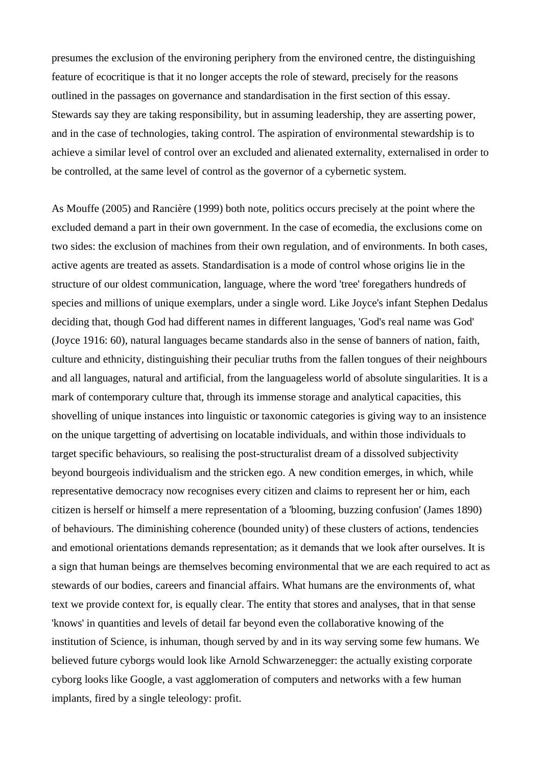presumes the exclusion of the environing periphery from the environed centre, the distinguishing feature of ecocritique is that it no longer accepts the role of steward, precisely for the reasons outlined in the passages on governance and standardisation in the first section of this essay. Stewards say they are taking responsibility, but in assuming leadership, they are asserting power, and in the case of technologies, taking control. The aspiration of environmental stewardship is to achieve a similar level of control over an excluded and alienated externality, externalised in order to be controlled, at the same level of control as the governor of a cybernetic system.

As Mouffe (2005) and Rancière (1999) both note, politics occurs precisely at the point where the excluded demand a part in their own government. In the case of ecomedia, the exclusions come on two sides: the exclusion of machines from their own regulation, and of environments. In both cases, active agents are treated as assets. Standardisation is a mode of control whose origins lie in the structure of our oldest communication, language, where the word 'tree' foregathers hundreds of species and millions of unique exemplars, under a single word. Like Joyce's infant Stephen Dedalus deciding that, though God had different names in different languages, 'God's real name was God' (Joyce 1916: 60), natural languages became standards also in the sense of banners of nation, faith, culture and ethnicity, distinguishing their peculiar truths from the fallen tongues of their neighbours and all languages, natural and artificial, from the languageless world of absolute singularities. It is a mark of contemporary culture that, through its immense storage and analytical capacities, this shovelling of unique instances into linguistic or taxonomic categories is giving way to an insistence on the unique targetting of advertising on locatable individuals, and within those individuals to target specific behaviours, so realising the post-structuralist dream of a dissolved subjectivity beyond bourgeois individualism and the stricken ego. A new condition emerges, in which, while representative democracy now recognises every citizen and claims to represent her or him, each citizen is herself or himself a mere representation of a 'blooming, buzzing confusion' (James 1890) of behaviours. The diminishing coherence (bounded unity) of these clusters of actions, tendencies and emotional orientations demands representation; as it demands that we look after ourselves. It is a sign that human beings are themselves becoming environmental that we are each required to act as stewards of our bodies, careers and financial affairs. What humans are the environments of, what text we provide context for, is equally clear. The entity that stores and analyses, that in that sense 'knows' in quantities and levels of detail far beyond even the collaborative knowing of the institution of Science, is inhuman, though served by and in its way serving some few humans. We believed future cyborgs would look like Arnold Schwarzenegger: the actually existing corporate cyborg looks like Google, a vast agglomeration of computers and networks with a few human implants, fired by a single teleology: profit.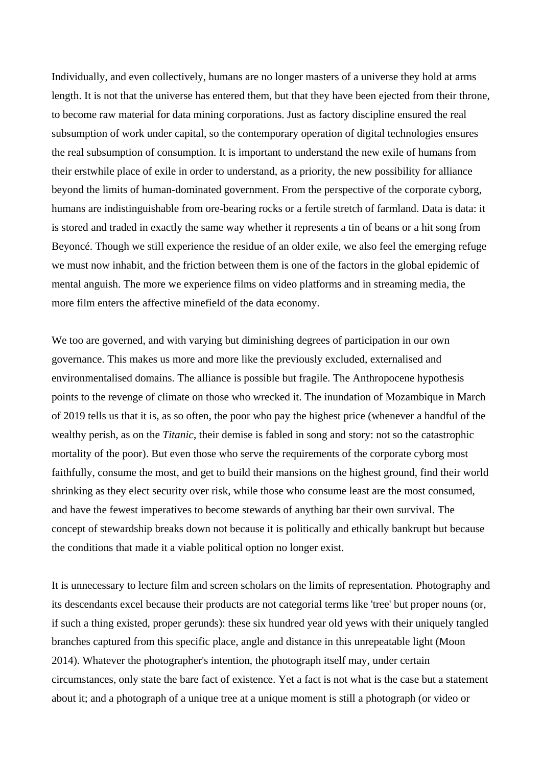Individually, and even collectively, humans are no longer masters of a universe they hold at arms length. It is not that the universe has entered them, but that they have been ejected from their throne, to become raw material for data mining corporations. Just as factory discipline ensured the real subsumption of work under capital, so the contemporary operation of digital technologies ensures the real subsumption of consumption. It is important to understand the new exile of humans from their erstwhile place of exile in order to understand, as a priority, the new possibility for alliance beyond the limits of human-dominated government. From the perspective of the corporate cyborg, humans are indistinguishable from ore-bearing rocks or a fertile stretch of farmland. Data is data: it is stored and traded in exactly the same way whether it represents a tin of beans or a hit song from Beyoncé. Though we still experience the residue of an older exile, we also feel the emerging refuge we must now inhabit, and the friction between them is one of the factors in the global epidemic of mental anguish. The more we experience films on video platforms and in streaming media, the more film enters the affective minefield of the data economy.

We too are governed, and with varying but diminishing degrees of participation in our own governance. This makes us more and more like the previously excluded, externalised and environmentalised domains. The alliance is possible but fragile. The Anthropocene hypothesis points to the revenge of climate on those who wrecked it. The inundation of Mozambique in March of 2019 tells us that it is, as so often, the poor who pay the highest price (whenever a handful of the wealthy perish, as on the *Titanic*, their demise is fabled in song and story: not so the catastrophic mortality of the poor). But even those who serve the requirements of the corporate cyborg most faithfully, consume the most, and get to build their mansions on the highest ground, find their world shrinking as they elect security over risk, while those who consume least are the most consumed, and have the fewest imperatives to become stewards of anything bar their own survival. The concept of stewardship breaks down not because it is politically and ethically bankrupt but because the conditions that made it a viable political option no longer exist.

It is unnecessary to lecture film and screen scholars on the limits of representation. Photography and its descendants excel because their products are not categorial terms like 'tree' but proper nouns (or, if such a thing existed, proper gerunds): these six hundred year old yews with their uniquely tangled branches captured from this specific place, angle and distance in this unrepeatable light (Moon 2014). Whatever the photographer's intention, the photograph itself may, under certain circumstances, only state the bare fact of existence. Yet a fact is not what is the case but a statement about it; and a photograph of a unique tree at a unique moment is still a photograph (or video or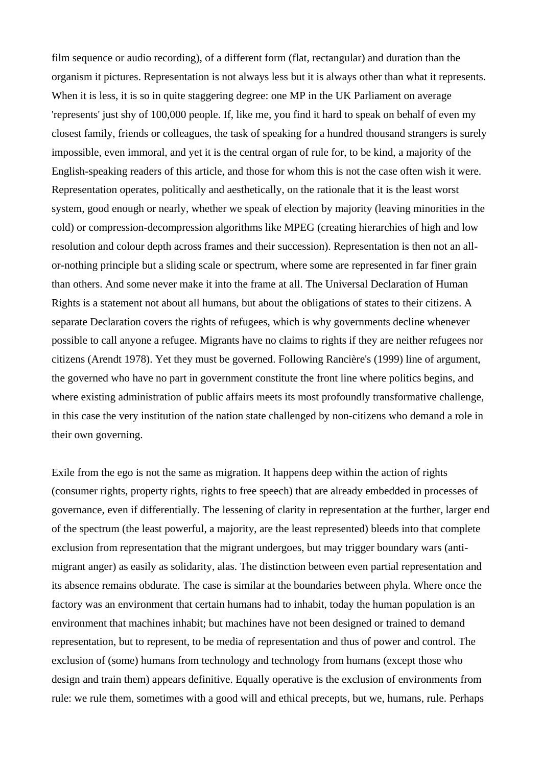film sequence or audio recording), of a different form (flat, rectangular) and duration than the organism it pictures. Representation is not always less but it is always other than what it represents. When it is less, it is so in quite staggering degree: one MP in the UK Parliament on average 'represents' just shy of 100,000 people. If, like me, you find it hard to speak on behalf of even my closest family, friends or colleagues, the task of speaking for a hundred thousand strangers is surely impossible, even immoral, and yet it is the central organ of rule for, to be kind, a majority of the English-speaking readers of this article, and those for whom this is not the case often wish it were. Representation operates, politically and aesthetically, on the rationale that it is the least worst system, good enough or nearly, whether we speak of election by majority (leaving minorities in the cold) or compression-decompression algorithms like MPEG (creating hierarchies of high and low resolution and colour depth across frames and their succession). Representation is then not an allor-nothing principle but a sliding scale or spectrum, where some are represented in far finer grain than others. And some never make it into the frame at all. The Universal Declaration of Human Rights is a statement not about all humans, but about the obligations of states to their citizens. A separate Declaration covers the rights of refugees, which is why governments decline whenever possible to call anyone a refugee. Migrants have no claims to rights if they are neither refugees nor citizens (Arendt 1978). Yet they must be governed. Following Rancière's (1999) line of argument, the governed who have no part in government constitute the front line where politics begins, and where existing administration of public affairs meets its most profoundly transformative challenge, in this case the very institution of the nation state challenged by non-citizens who demand a role in their own governing.

Exile from the ego is not the same as migration. It happens deep within the action of rights (consumer rights, property rights, rights to free speech) that are already embedded in processes of governance, even if differentially. The lessening of clarity in representation at the further, larger end of the spectrum (the least powerful, a majority, are the least represented) bleeds into that complete exclusion from representation that the migrant undergoes, but may trigger boundary wars (antimigrant anger) as easily as solidarity, alas. The distinction between even partial representation and its absence remains obdurate. The case is similar at the boundaries between phyla. Where once the factory was an environment that certain humans had to inhabit, today the human population is an environment that machines inhabit; but machines have not been designed or trained to demand representation, but to represent, to be media of representation and thus of power and control. The exclusion of (some) humans from technology and technology from humans (except those who design and train them) appears definitive. Equally operative is the exclusion of environments from rule: we rule them, sometimes with a good will and ethical precepts, but we, humans, rule. Perhaps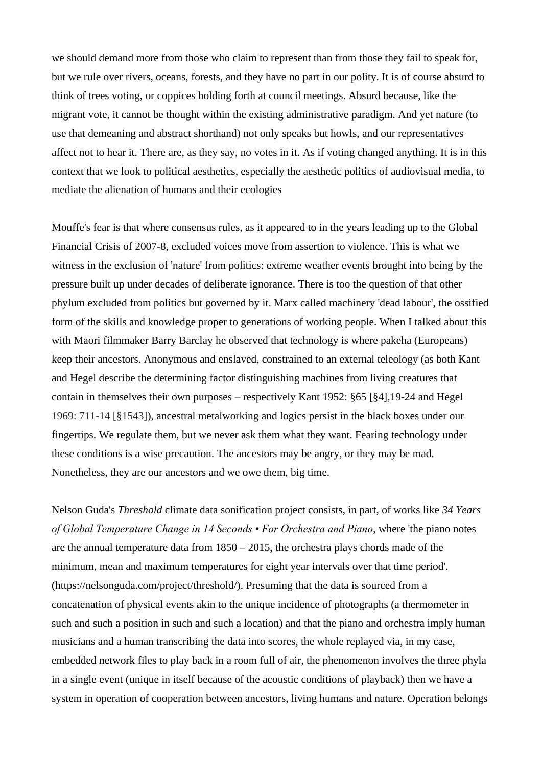we should demand more from those who claim to represent than from those they fail to speak for, but we rule over rivers, oceans, forests, and they have no part in our polity. It is of course absurd to think of trees voting, or coppices holding forth at council meetings. Absurd because, like the migrant vote, it cannot be thought within the existing administrative paradigm. And yet nature (to use that demeaning and abstract shorthand) not only speaks but howls, and our representatives affect not to hear it. There are, as they say, no votes in it. As if voting changed anything. It is in this context that we look to political aesthetics, especially the aesthetic politics of audiovisual media, to mediate the alienation of humans and their ecologies

Mouffe's fear is that where consensus rules, as it appeared to in the years leading up to the Global Financial Crisis of 2007-8, excluded voices move from assertion to violence. This is what we witness in the exclusion of 'nature' from politics: extreme weather events brought into being by the pressure built up under decades of deliberate ignorance. There is too the question of that other phylum excluded from politics but governed by it. Marx called machinery 'dead labour', the ossified form of the skills and knowledge proper to generations of working people. When I talked about this with Maori filmmaker Barry Barclay he observed that technology is where pakeha (Europeans) keep their ancestors. Anonymous and enslaved, constrained to an external teleology (as both Kant and Hegel describe the determining factor distinguishing machines from living creatures that contain in themselves their own purposes – respectively Kant 1952: §65 [§4],19-24 and Hegel 1969: 711-14 [§1543]), ancestral metalworking and logics persist in the black boxes under our fingertips. We regulate them, but we never ask them what they want. Fearing technology under these conditions is a wise precaution. The ancestors may be angry, or they may be mad. Nonetheless, they are our ancestors and we owe them, big time.

Nelson Guda's *Threshold* climate data sonification project consists, in part, of works like *34 Years of Global Temperature Change in 14 Seconds • For Orchestra and Piano*, where 'the piano notes are the annual temperature data from 1850 – 2015, the orchestra plays chords made of the minimum, mean and maximum temperatures for eight year intervals over that time period'. (https://nelsonguda.com/project/threshold/). Presuming that the data is sourced from a concatenation of physical events akin to the unique incidence of photographs (a thermometer in such and such a position in such and such a location) and that the piano and orchestra imply human musicians and a human transcribing the data into scores, the whole replayed via, in my case, embedded network files to play back in a room full of air, the phenomenon involves the three phyla in a single event (unique in itself because of the acoustic conditions of playback) then we have a system in operation of cooperation between ancestors, living humans and nature. Operation belongs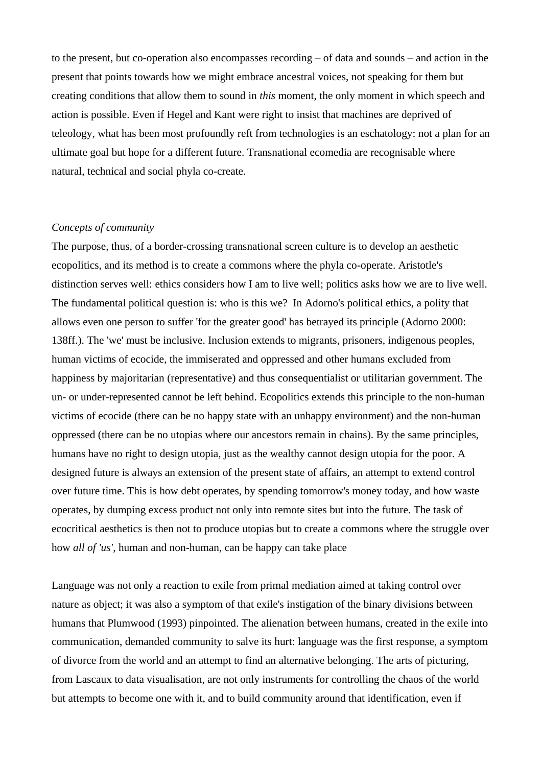to the present, but co-operation also encompasses recording – of data and sounds – and action in the present that points towards how we might embrace ancestral voices, not speaking for them but creating conditions that allow them to sound in *this* moment, the only moment in which speech and action is possible. Even if Hegel and Kant were right to insist that machines are deprived of teleology, what has been most profoundly reft from technologies is an eschatology: not a plan for an ultimate goal but hope for a different future. Transnational ecomedia are recognisable where natural, technical and social phyla co-create.

## *Concepts of community*

The purpose, thus, of a border-crossing transnational screen culture is to develop an aesthetic ecopolitics, and its method is to create a commons where the phyla co-operate. Aristotle's distinction serves well: ethics considers how I am to live well; politics asks how we are to live well. The fundamental political question is: who is this we? In Adorno's political ethics, a polity that allows even one person to suffer 'for the greater good' has betrayed its principle (Adorno 2000: 138ff.). The 'we' must be inclusive. Inclusion extends to migrants, prisoners, indigenous peoples, human victims of ecocide, the immiserated and oppressed and other humans excluded from happiness by majoritarian (representative) and thus consequentialist or utilitarian government. The un- or under-represented cannot be left behind. Ecopolitics extends this principle to the non-human victims of ecocide (there can be no happy state with an unhappy environment) and the non-human oppressed (there can be no utopias where our ancestors remain in chains). By the same principles, humans have no right to design utopia, just as the wealthy cannot design utopia for the poor. A designed future is always an extension of the present state of affairs, an attempt to extend control over future time. This is how debt operates, by spending tomorrow's money today, and how waste operates, by dumping excess product not only into remote sites but into the future. The task of ecocritical aesthetics is then not to produce utopias but to create a commons where the struggle over how *all of 'us'*, human and non-human, can be happy can take place

Language was not only a reaction to exile from primal mediation aimed at taking control over nature as object; it was also a symptom of that exile's instigation of the binary divisions between humans that Plumwood (1993) pinpointed. The alienation between humans, created in the exile into communication, demanded community to salve its hurt: language was the first response, a symptom of divorce from the world and an attempt to find an alternative belonging. The arts of picturing, from Lascaux to data visualisation, are not only instruments for controlling the chaos of the world but attempts to become one with it, and to build community around that identification, even if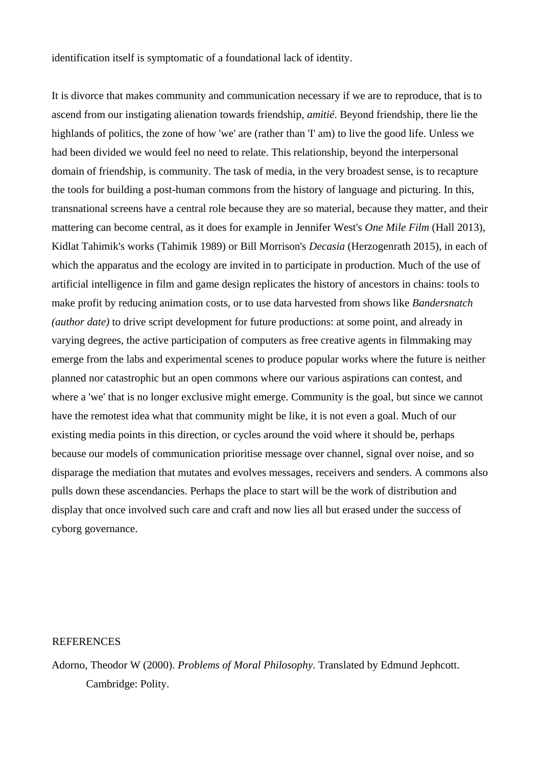identification itself is symptomatic of a foundational lack of identity.

It is divorce that makes community and communication necessary if we are to reproduce, that is to ascend from our instigating alienation towards friendship, *amitié*. Beyond friendship, there lie the highlands of politics, the zone of how 'we' are (rather than 'I' am) to live the good life. Unless we had been divided we would feel no need to relate. This relationship, beyond the interpersonal domain of friendship, is community. The task of media, in the very broadest sense, is to recapture the tools for building a post-human commons from the history of language and picturing. In this, transnational screens have a central role because they are so material, because they matter, and their mattering can become central, as it does for example in Jennifer West's *One Mile Film* (Hall 2013), Kidlat Tahimik's works (Tahimik 1989) or Bill Morrison's *Decasia* (Herzogenrath 2015), in each of which the apparatus and the ecology are invited in to participate in production. Much of the use of artificial intelligence in film and game design replicates the history of ancestors in chains: tools to make profit by reducing animation costs, or to use data harvested from shows like *Bandersnatch (author date)* to drive script development for future productions: at some point, and already in varying degrees, the active participation of computers as free creative agents in filmmaking may emerge from the labs and experimental scenes to produce popular works where the future is neither planned nor catastrophic but an open commons where our various aspirations can contest, and where a 'we' that is no longer exclusive might emerge. Community is the goal, but since we cannot have the remotest idea what that community might be like, it is not even a goal. Much of our existing media points in this direction, or cycles around the void where it should be, perhaps because our models of communication prioritise message over channel, signal over noise, and so disparage the mediation that mutates and evolves messages, receivers and senders. A commons also pulls down these ascendancies. Perhaps the place to start will be the work of distribution and display that once involved such care and craft and now lies all but erased under the success of cyborg governance.

### **REFERENCES**

Adorno, Theodor W (2000). *Problems of Moral Philosophy*. Translated by Edmund Jephcott. Cambridge: Polity.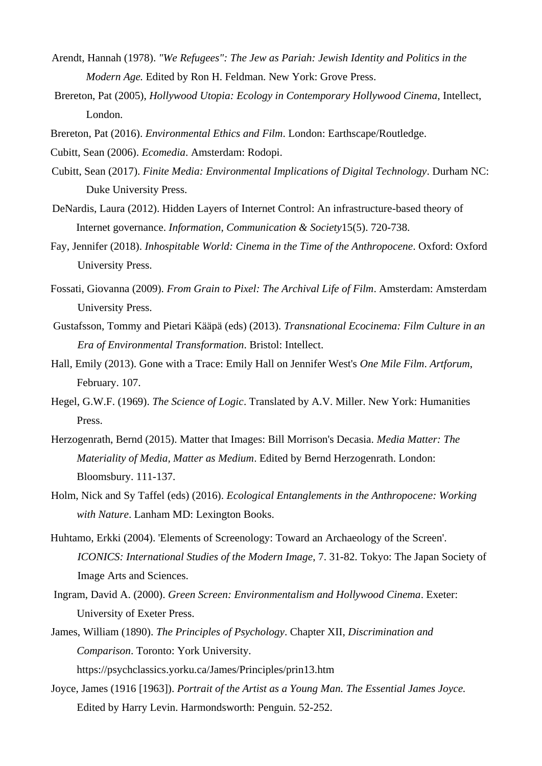- Arendt, Hannah (1978). *"We Refugees": The Jew as Pariah: Jewish Identity and Politics in the Modern Age.* Edited by Ron H. Feldman. New York: Grove Press.
- Brereton, Pat (2005), *Hollywood Utopia: Ecology in Contemporary Hollywood Cinema*, Intellect, London.
- Brereton, Pat (2016). *Environmental Ethics and Film*. London: Earthscape/Routledge.
- Cubitt, Sean (2006). *Ecomedia*. Amsterdam: Rodopi.
- Cubitt, Sean (2017). *Finite Media: Environmental Implications of Digital Technology*. Durham NC: Duke University Press.
- DeNardis, Laura (2012). Hidden Layers of Internet Control: An infrastructure-based theory of Internet governance. *Information, Communication & Society*15(5). 720-738.
- Fay, Jennifer (2018). *Inhospitable World: Cinema in the Time of the Anthropocene*. Oxford: Oxford University Press.
- Fossati, Giovanna (2009). *From Grain to Pixel: The Archival Life of Film*. Amsterdam: Amsterdam University Press.
- Gustafsson, Tommy and Pietari Kääpä (eds) (2013). *Transnational Ecocinema: Film Culture in an Era of Environmental Transformation*. Bristol: Intellect.
- Hall, Emily (2013). Gone with a Trace: Emily Hall on Jennifer West's *One Mile Film*. *Artforum*, February. 107.
- Hegel, G.W.F. (1969). *The Science of Logic*. Translated by A.V. Miller. New York: Humanities Press.
- Herzogenrath, Bernd (2015). Matter that Images: Bill Morrison's Decasia. *Media Matter: The Materiality of Media, Matter as Medium*. Edited by Bernd Herzogenrath. London: Bloomsbury. 111-137.
- Holm, Nick and Sy Taffel (eds) (2016). *Ecological Entanglements in the Anthropocene: Working with Nature*. Lanham MD: Lexington Books.
- Huhtamo, Erkki (2004). 'Elements of Screenology: Toward an Archaeology of the Screen'. *ICONICS: International Studies of the Modern Image*, 7. 31-82. Tokyo: The Japan Society of Image Arts and Sciences.
- Ingram, David A. (2000). *Green Screen: Environmentalism and Hollywood Cinema*. Exeter: University of Exeter Press.
- James, William (1890). *The Principles of Psychology*. Chapter XII, *Discrimination and Comparison*. Toronto: York University. https://psychclassics.yorku.ca/James/Principles/prin13.htm
- Joyce, James (1916 [1963]). *Portrait of the Artist as a Young Man. The Essential James Joyce.* Edited by Harry Levin. Harmondsworth: Penguin. 52-252.